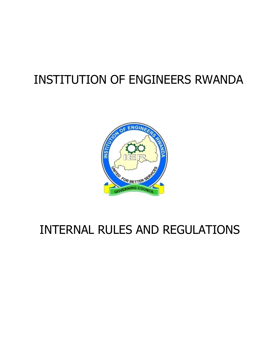# INSTITUTION OF ENGINEERS RWANDA



# INTERNAL RULES AND REGULATIONS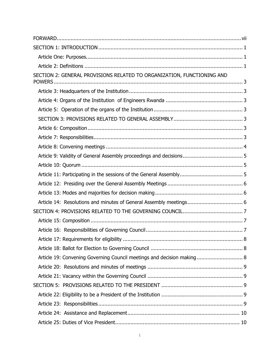| SECTION 2: GENERAL PROVISIONS RELATED TO ORGANIZATION, FUNCTIONING AND |
|------------------------------------------------------------------------|
|                                                                        |
|                                                                        |
|                                                                        |
|                                                                        |
|                                                                        |
|                                                                        |
|                                                                        |
|                                                                        |
|                                                                        |
|                                                                        |
|                                                                        |
|                                                                        |
| Article 14: Resolutions and minutes of General Assembly meetings 6     |
|                                                                        |
|                                                                        |
|                                                                        |
| 8                                                                      |
|                                                                        |
| Article 19: Convening Governing Council meetings and decision making 8 |
|                                                                        |
|                                                                        |
|                                                                        |
|                                                                        |
|                                                                        |
|                                                                        |
|                                                                        |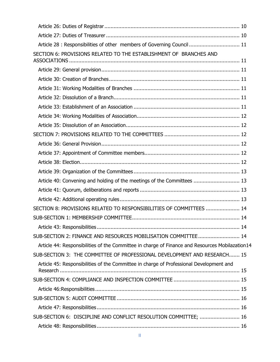| Article 28 : Responsibilities of other members of Governing Council  11                         |
|-------------------------------------------------------------------------------------------------|
| SECTION 6: PROVISIONS RELATED TO THE ESTABLISHMENT OF BRANCHES AND                              |
|                                                                                                 |
|                                                                                                 |
|                                                                                                 |
|                                                                                                 |
|                                                                                                 |
|                                                                                                 |
|                                                                                                 |
|                                                                                                 |
|                                                                                                 |
|                                                                                                 |
|                                                                                                 |
|                                                                                                 |
|                                                                                                 |
| Article 40: Convening and holding of the meetings of the Committees  13                         |
|                                                                                                 |
|                                                                                                 |
| SECTION 8: PROVISIONS RELATED TO RESPONSIBILITIES OF COMMITTEES  14                             |
|                                                                                                 |
| . 14                                                                                            |
| SUB-SECTION 2: FINANCE AND RESOURCES MOBILISATION COMMITTEE 14                                  |
| Article 44: Responsibilities of the Committee in charge of Finance and Resources Mobilazation14 |
| SUB-SECTION 3: THE COMMITTEE OF PROFESSIONAL DEVELOPMENT AND RESEARCH 15                        |
| Article 45: Responsibilities of the Committee in charge of Professional Development and         |
|                                                                                                 |
|                                                                                                 |
|                                                                                                 |
|                                                                                                 |
| SUB-SECTION 6: DISCIPLINE AND CONFLICT RESOLUTION COMMITTEE;  16                                |
|                                                                                                 |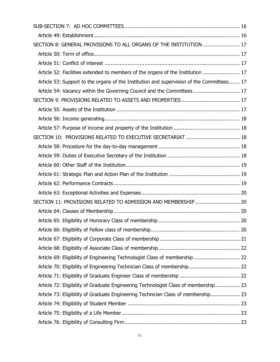| SECTION 8: GENERAL PROVISIONS TO ALL ORGANS OF THE INSTITUTION  17                        |  |
|-------------------------------------------------------------------------------------------|--|
|                                                                                           |  |
|                                                                                           |  |
| Article 52: Facilities extended to members of the organs of the Institution  17           |  |
| Article 53: Support to the organs of the Institution and supervision of the Committees 17 |  |
| Article 54: Vacancy within the Governing Council and the Committees  17                   |  |
|                                                                                           |  |
|                                                                                           |  |
|                                                                                           |  |
|                                                                                           |  |
| SECTION 10: PROVISIONS RELATED TO EXECUTIVE SECRETARIAT  18                               |  |
|                                                                                           |  |
|                                                                                           |  |
|                                                                                           |  |
|                                                                                           |  |
|                                                                                           |  |
|                                                                                           |  |
| SECTION 11: PROVISIONS RELATED TO ADMISSION AND MEMBERSHIP  20                            |  |
|                                                                                           |  |
|                                                                                           |  |
|                                                                                           |  |
|                                                                                           |  |
|                                                                                           |  |
| Article 69: Eligibility of Engineering Technologist Class of membership  22               |  |
|                                                                                           |  |
|                                                                                           |  |
| Article 72: Eligibility of Graduate Engineering Technologist Class of membership 23       |  |
| Article 73: Eligibility of Graduate Engineering Technician Class of membership 23         |  |
|                                                                                           |  |
|                                                                                           |  |
|                                                                                           |  |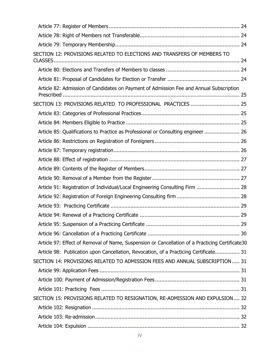| SECTION 12: PROVISIONS RELATED TO ELECTIONS AND TRANSFERS OF MEMBERS TO                         |  |
|-------------------------------------------------------------------------------------------------|--|
|                                                                                                 |  |
|                                                                                                 |  |
|                                                                                                 |  |
| Article 82: Admission of Candidates on Payment of Admission Fee and Annual Subscription         |  |
| SECTION 13: PROVISIONS RELATED TO PROFESSIONAL PRACTICES  25                                    |  |
|                                                                                                 |  |
|                                                                                                 |  |
| Article 85: Qualifications to Practice as Professional or Consulting engineer  26               |  |
|                                                                                                 |  |
|                                                                                                 |  |
|                                                                                                 |  |
|                                                                                                 |  |
|                                                                                                 |  |
| Article 91: Registration of Individual/Local Engineering Consulting Firm  28                    |  |
|                                                                                                 |  |
|                                                                                                 |  |
|                                                                                                 |  |
|                                                                                                 |  |
|                                                                                                 |  |
| Article 97: Effect of Removal of Name, Suspension or Cancellation of a Practicing Certificate30 |  |
| Article 98: Publication upon Cancellation, Revocation, of a Practicing Certificate 31           |  |
| SECTION 14: PROVISIONS RELATED TO ADMISSION FEES AND ANNUAL SUBSCRIPTION 31                     |  |
|                                                                                                 |  |
|                                                                                                 |  |
|                                                                                                 |  |
| SECTION 15: PROVISIONS RELATED TO RESIGNATION, RE-ADMISSION AND EXPULSION 32                    |  |
|                                                                                                 |  |
|                                                                                                 |  |
|                                                                                                 |  |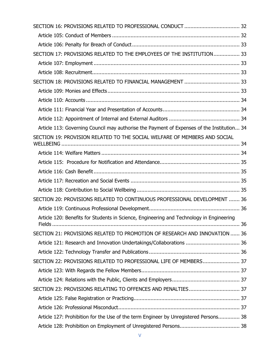| SECTION 17: PROVISIONS RELATED TO THE EMPLOYEES OF THE INSTITUTION 33                      |  |
|--------------------------------------------------------------------------------------------|--|
|                                                                                            |  |
|                                                                                            |  |
|                                                                                            |  |
|                                                                                            |  |
|                                                                                            |  |
|                                                                                            |  |
|                                                                                            |  |
| Article 113: Governing Council may authorise the Payment of Expenses of the Institution 34 |  |
| SECTION 19: PROVISION RELATED TO THE SOCIAL WELFARE OF MEMBERS AND SOCIAL                  |  |
|                                                                                            |  |
|                                                                                            |  |
|                                                                                            |  |
|                                                                                            |  |
|                                                                                            |  |
|                                                                                            |  |
| SECTION 20: PROVISIONS RELATED TO CONTINUOUS PROFESSIONAL DEVELOPMENT  36                  |  |
|                                                                                            |  |
| Article 120: Benefits for Students in Science, Engineering and Technology in Engineering   |  |
| SECTION 21: PROVISIONS RELATED TO PROMOTION OF RESEARCH AND INNOVATION  36                 |  |
| Article 121: Research and Innovation Undertakings/Collaborations  36                       |  |
|                                                                                            |  |
| SECTION 22: PROVISIONS RELATED TO PROFESSIONAL LIFE OF MEMBERS 37                          |  |
|                                                                                            |  |
|                                                                                            |  |
| SECTION 23: PROVISIONS RELATING TO OFFENCES AND PENALTIES 37                               |  |
|                                                                                            |  |
|                                                                                            |  |
| Article 127: Prohibition for the Use of the term Engineer by Unregistered Persons 38       |  |
|                                                                                            |  |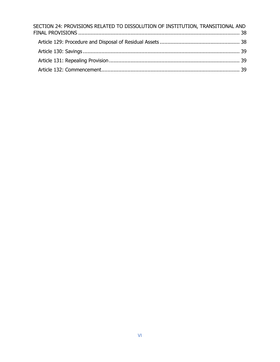| SECTION 24: PROVISIONS RELATED TO DISSOLUTION OF INSTITUTION, TRANSITIONAL AND |  |
|--------------------------------------------------------------------------------|--|
|                                                                                |  |
|                                                                                |  |
|                                                                                |  |
|                                                                                |  |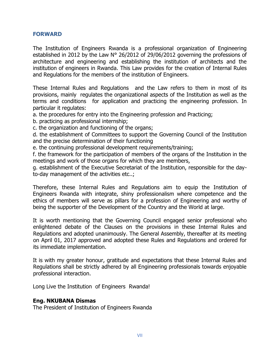#### <span id="page-7-0"></span>**FORWARD**

The Institution of Engineers Rwanda is a professional organization of Engineering established in 2012 by the Law N° 26/2012 of 29/06/2012 governing the professions of architecture and engineering and establishing the institution of architects and the institution of engineers in Rwanda. This Law provides for the creation of Internal Rules and Regulations for the members of the institution of Engineers.

These Internal Rules and Regulations and the Law refers to them in most of its provisions, mainly regulates the organizational aspects of the Institution as well as the terms and conditions for application and practicing the engineering profession. In particular it regulates:

a. the procedures for entry into the Engineering profession and Practicing;

b. practicing as professional internship;

c. the organization and functioning of the organs;

d. the establishment of Committees to support the Governing Council of the Institution and the precise determination of their functioning

e. the continuing professional development requirements/training;

f. the framework for the participation of members of the organs of the Institution in the meetings and work of those organs for which they are members,

g. establishment of the Executive Secretariat of the Institution, responsible for the dayto-day management of the activities etc..;

Therefore, these Internal Rules and Regulations aim to equip the Institution of Engineers Rwanda with integrate, shiny professionalism where competence and the ethics of members will serve as pillars for a profession of Engineering and worthy of being the supporter of the Development of the Country and the World at large.

It is worth mentioning that the Governing Council engaged senior professional who enlightened debate of the Clauses on the provisions in these Internal Rules and Regulations and adopted unanimously. The General Assembly, thereafter at its meeting on April 01, 2017 approved and adopted these Rules and Regulations and ordered for its immediate implementation.

It is with my greater honour, gratitude and expectations that these Internal Rules and Regulations shall be strictly adhered by all Engineering professionals towards enjoyable professional interaction.

Long Live the Institution of Engineers Rwanda!

#### **Eng. NKUBANA Dismas**

The President of Institution of Engineers Rwanda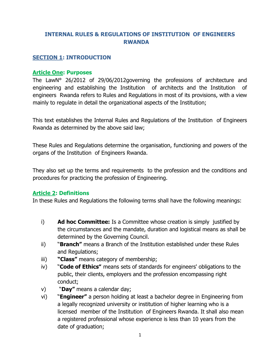# **INTERNAL RULES & REGULATIONS OF INSTITUTION OF ENGINEERS RWANDA**

#### <span id="page-8-0"></span>**SECTION 1: INTRODUCTION**

#### <span id="page-8-1"></span>**Article One: Purposes**

The LawN° 26/2012 of 29/06/2012governing the professions of architecture and engineering and establishing the Institution of architects and the Institution of engineers Rwanda refers to Rules and Regulations in most of its provisions, with a view mainly to regulate in detail the organizational aspects of the Institution;

This text establishes the Internal Rules and Regulations of the Institution of Engineers Rwanda as determined by the above said law;

These Rules and Regulations determine the organisation, functioning and powers of the organs of the Institution of Engineers Rwanda.

They also set up the terms and requirements to the profession and the conditions and procedures for practicing the profession of Engineering.

#### <span id="page-8-2"></span>**Article 2: Definitions**

In these Rules and Regulations the following terms shall have the following meanings:

- i) **Ad hoc Committee:** Is a Committee whose creation is simply justified by the circumstances and the mandate, duration and logistical means as shall be determined by the Governing Council.
- ii) "**Branch"** means a Branch of the Institution established under these Rules and Regulations;
- iii) **"Class"** means category of membership;
- iv) "**Code of Ethics"** means sets of standards for engineers' obligations to the public, their clients, employers and the profession encompassing right conduct;
- v) "**Day"** means a calendar day;
- vi) "**Engineer"** a person holding at least a bachelor degree in Engineering from a legally recognized university or institution of higher learning who is a licensed member of the Institution of Engineers Rwanda. It shall also mean a registered professional whose experience is less than 10 years from the date of graduation;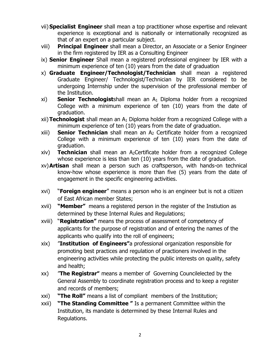- vii) **Specialist Engineer** shall mean a top practitioner whose expertise and relevant experience is exceptional and is nationally or internationally recognized as that of an expert on a particular subject.
- viii) **Principal Engineer** shall mean a Director, an Associate or a Senior Engineer in the firm registered by IER as a Consulting Engineer
- ix) **Senior Engineer** Shall mean a registered professional engineer by IER with a minimum experience of ten (10) years from the date of graduation
- x) **Graduate Engineer/Technologist/Technician** shall mean a registered Graduate Engineer/ Technologist/Technician by IER considered to be undergoing Internship under the supervision of the professional member of the Institution.
- xi) **Senior Technologist**shall mean an A<sup>1</sup> Diploma holder from a recognized College with a minimum experience of ten (10) years from the date of graduation.
- xii) **Technologist** shall mean an A<sup>1</sup> Diploma holder from a recognized College with a minimum experience of ten (10) years from the date of graduation.
- xiii) **Senior Technician** shall mean an A<sup>2</sup> Certificate holder from a recognized College with a minimum experience of ten (10) years from the date of graduation.
- xiv) **Technician** shall mean an A2Certificate holder from a recognized College whose experience is less than ten (10) years from the date of graduation.
- xv)**Artisan** shall mean a person such as craftsperson, with hands-on technical know-how whose experience is more than five (5) years from the date of engagement in the specific engineering activities.
- xvi) "**Foreign engineer**" means a person who is an engineer but is not a citizen of East African member States;
- xvii) **"Member"** means a registered person in the register of the Instiution as determined by these Internal Rules and Regulations;
- xviii) "**Registration"** means the process of assessment of competency of applicants for the purpose of registration and of entering the names of the applicants who qualify into the roll of engineers;
- xix) "**Institution of Engineers"**a professional organization responsible for promoting best practices and regulation of practioners involved in the engineering activities while protecting the public interests on quality, safety and health;
- xx) "**The Registrar"** means a member of Governing Councilelected by the General Assembly to coordinate registration process and to keep a register and records of members;
- xxi) **"The Roll"** means a list of compliant members of the Institution;
- xxii) **"The Standing Committee "** Is a permanent Committee within the Institution, its mandate is determined by these Internal Rules and Regulations.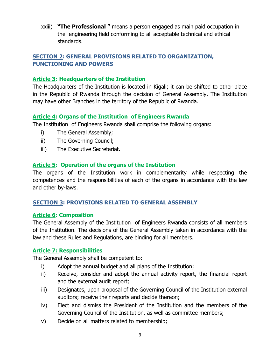xxiii) **"The Professional "** means a person engaged as main paid occupation in the engineering field conforming to all acceptable technical and ethical standards.

# <span id="page-10-0"></span>**SECTION 2: GENERAL PROVISIONS RELATED TO ORGANIZATION, FUNCTIONING AND POWERS**

## <span id="page-10-1"></span>**Article 3: Headquarters of the Institution**

The Headquarters of the Institution is located in Kigali; it can be shifted to other place in the Republic of Rwanda through the decision of General Assembly. The Institution may have other Branches in the territory of the Republic of Rwanda.

## <span id="page-10-2"></span>**Article 4: Organs of the Institution of Engineers Rwanda**

The Institution of Engineers Rwanda shall comprise the following organs:

- i) The General Assembly;
- ii) The Governing Council;
- iii) The Executive Secretariat.

## <span id="page-10-3"></span>**Article 5: Operation of the organs of the Institution**

The organs of the Institution work in complementarity while respecting the competences and the responsibilities of each of the organs in accordance with the law and other by-laws.

## <span id="page-10-4"></span>**SECTION 3: PROVISIONS RELATED TO GENERAL ASSEMBLY**

## <span id="page-10-5"></span>**Article 6: Composition**

The General Assembly of the Institution of Engineers Rwanda consists of all members of the Institution. The decisions of the General Assembly taken in accordance with the law and these Rules and Regulations, are binding for all members.

## <span id="page-10-6"></span>**Article 7: Responsibilities**

The General Assembly shall be competent to:

- i) Adopt the annual budget and all plans of the Institution;
- ii) Receive, consider and adopt the annual activity report, the financial report and the external audit report;
- iii) Designates, upon proposal of the Governing Council of the Institution external auditors; receive their reports and decide thereon;
- iv) Elect and dismiss the President of the Institution and the members of the Governing Council of the Institution, as well as committee members;
- v) Decide on all matters related to membership;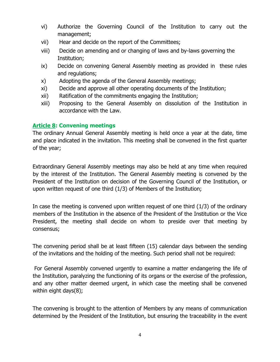- vi) Authorize the Governing Council of the Institution to carry out the management;
- vii) Hear and decide on the report of the Committees;
- viii) Decide on amending and or changing of laws and by-laws governing the Institution;
- ix) Decide on convening General Assembly meeting as provided in these rules and regulations;
- x) Adopting the agenda of the General Assembly meetings;
- xi) Decide and approve all other operating documents of the Institution;
- xii) Ratification of the commitments engaging the Institution;
- xiii) Proposing to the General Assembly on dissolution of the Institution in accordance with the Law.

## <span id="page-11-0"></span>**Article 8: Convening meetings**

The ordinary Annual General Assembly meeting is held once a year at the date, time and place indicated in the invitation. This meeting shall be convened in the first quarter of the year;

Extraordinary General Assembly meetings may also be held at any time when required by the interest of the Institution. The General Assembly meeting is convened by the President of the Institution on decision of the Governing Council of the Institution, or upon written request of one third (1/3) of Members of the Institution;

In case the meeting is convened upon written request of one third (1/3) of the ordinary members of the Institution in the absence of the President of the Institution or the Vice President, the meeting shall decide on whom to preside over that meeting by consensus;

The convening period shall be at least fifteen (15) calendar days between the sending of the invitations and the holding of the meeting. Such period shall not be required:

For General Assembly convened urgently to examine a matter endangering the life of the Institution, paralyzing the functioning of its organs or the exercise of the profession, and any other matter deemed urgent, in which case the meeting shall be convened within eight days(8);

The convening is brought to the attention of Members by any means of communication determined by the President of the Institution, but ensuring the traceability in the event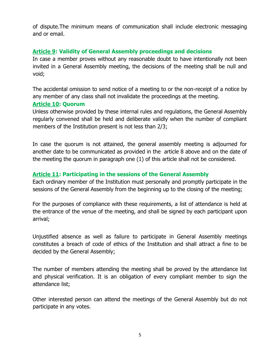of dispute.The minimum means of communication shall include electronic messaging and or email.

## <span id="page-12-0"></span>**Article 9: Validity of General Assembly proceedings and decisions**

In case a member proves without any reasonable doubt to have intentionally not been invited in a General Assembly meeting, the decisions of the meeting shall be null and void;

The accidental omission to send notice of a meeting to or the non-receipt of a notice by any member of any class shall not invalidate the proceedings at the meeting.

#### <span id="page-12-1"></span>**Article 10: Quorum**

Unless otherwise provided by these internal rules and regulations, the General Assembly regularly convened shall be held and deliberate validly when the number of compliant members of the Institution present is not less than 2/3;

In case the quorum is not attained, the general assembly meeting is adjourned for another date to be communicated as provided in the article 8 above and on the date of the meeting the quorum in paragraph one (1) of this article shall not be considered.

## <span id="page-12-2"></span>**Article 11: Participating in the sessions of the General Assembly**

Each ordinary member of the Institution must personally and promptly participate in the sessions of the General Assembly from the beginning up to the closing of the meeting;

For the purposes of compliance with these requirements, a list of attendance is held at the entrance of the venue of the meeting, and shall be signed by each participant upon arrival;

Unjustified absence as well as failure to participate in General Assembly meetings constitutes a breach of code of ethics of the Institution and shall attract a fine to be decided by the General Assembly;

The number of members attending the meeting shall be proved by the attendance list and physical verification. It is an obligation of every compliant member to sign the attendance list;

Other interested person can attend the meetings of the General Assembly but do not participate in any votes.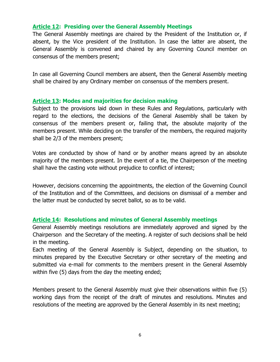## <span id="page-13-0"></span>**Article 12: Presiding over the General Assembly Meetings**

The General Assembly meetings are chaired by the President of the Institution or, if absent, by the Vice president of the Institution. In case the latter are absent, the General Assembly is convened and chaired by any Governing Council member on consensus of the members present;

In case all Governing Council members are absent, then the General Assembly meeting shall be chaired by any Ordinary member on consensus of the members present.

#### <span id="page-13-1"></span>**Article 13: Modes and majorities for decision making**

Subject to the provisions laid down in these Rules and Regulations, particularly with regard to the elections, the decisions of the General Assembly shall be taken by consensus of the members present or, failing that, the absolute majority of the members present. While deciding on the transfer of the members, the required majority shall be 2/3 of the members present;

Votes are conducted by show of hand or by another means agreed by an absolute majority of the members present. In the event of a tie, the Chairperson of the meeting shall have the casting vote without prejudice to conflict of interest;

However, decisions concerning the appointments, the election of the Governing Council of the Institution and of the Committees, and decisions on dismissal of a member and the latter must be conducted by secret ballot, so as to be valid.

#### <span id="page-13-2"></span>**Article 14: Resolutions and minutes of General Assembly meetings**

General Assembly meetings resolutions are immediately approved and signed by the Chairperson and the Secretary of the meeting. A register of such decisions shall be held in the meeting.

Each meeting of the General Assembly is Subject, depending on the situation, to minutes prepared by the Executive Secretary or other secretary of the meeting and submitted via e-mail for comments to the members present in the General Assembly within five (5) days from the day the meeting ended;

Members present to the General Assembly must give their observations within five (5) working days from the receipt of the draft of minutes and resolutions. Minutes and resolutions of the meeting are approved by the General Assembly in its next meeting;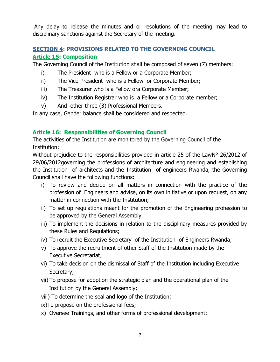Any delay to release the minutes and or resolutions of the meeting may lead to disciplinary sanctions against the Secretary of the meeting.

# <span id="page-14-0"></span>**SECTION 4: PROVISIONS RELATED TO THE GOVERNING COUNCIL Article 15: Composition**

<span id="page-14-1"></span>The Governing Council of the Institution shall be composed of seven (7) members:

- i) The President who is a Fellow or a Corporate Member;
- ii) The Vice-President who is a Fellow or Corporate Member;
- iii) The Treasurer who is a Fellow ora Corporate Member;
- iv) The Institution Registrar who is a Fellow or a Corporate member;
- v) And other three (3) Professional Members.

In any case, Gender balance shall be considered and respected.

# <span id="page-14-2"></span>**Article 16: Responsibilities of Governing Council**

The activities of the Institution are monitored by the Governing Council of the Institution;

Without prejudice to the responsibilities provided in article 25 of the LawN° 26/2012 of 29/06/2012governing the professions of architecture and engineering and establishing the Institution of architects and the Institution of engineers Rwanda, the Governing Council shall have the following functions:

- i) To review and decide on all matters in connection with the practice of the profession of Engineers and advise, on its own initiative or upon request, on any matter in connection with the Institution;
- ii) To set up regulations meant for the promotion of the Engineering profession to be approved by the General Assembly.
- iii) To implement the decisions in relation to the disciplinary measures provided by these Rules and Regulations;
- iv) To recruit the Executive Secretary of the Institution of Engineers Rwanda;
- v) To approve the recruitment of other Staff of the Institution made by the Executive Secretariat;
- vi) To take decision on the dismissal of Staff of the Institution including Executive Secretary;
- vii) To propose for adoption the strategic plan and the operational plan of the Institution by the General Assembly;
- viii) To determine the seal and logo of the Institution;
- ix)To propose on the professional fees;
- x) Oversee Trainings, and other forms of professional development;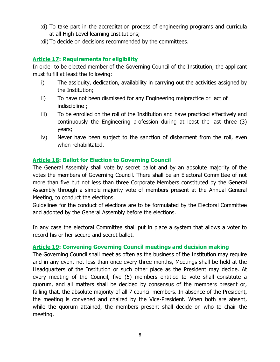- xi) To take part in the accreditation process of engineering programs and curricula at all High Level learning Institutions;
- xii) To decide on decisions recommended by the committees.

#### <span id="page-15-0"></span>**Article 17: Requirements for eligibility**

In order to be elected member of the Governing Council of the Institution, the applicant must fulfill at least the following:

- i) The assiduity, dedication, availability in carrying out the activities assigned by the Institution;
- ii) To have not been dismissed for any Engineering malpractice or act of indiscipline ;
- iii) To be enrolled on the roll of the Institution and have practiced effectively and continuously the Engineering profession during at least the last three (3) years;
- iv) Never have been subject to the sanction of disbarment from the roll, even when rehabilitated.

## <span id="page-15-1"></span>**Article 18: Ballot for Election to Governing Council**

The General Assembly shall vote by secret ballot and by an absolute majority of the votes the members of Governing Council. There shall be an Electoral Committee of not more than five but not less than three Corporate Members constituted by the General Assembly through a simple majority vote of members present at the Annual General Meeting, to conduct the elections.

Guidelines for the conduct of elections are to be formulated by the Electoral Committee and adopted by the General Assembly before the elections.

In any case the electoral Committee shall put in place a system that allows a voter to record his or her secure and secret ballot.

## <span id="page-15-2"></span>**Article 19: Convening Governing Council meetings and decision making**

The Governing Council shall meet as often as the business of the Institution may require and in any event not less than once every three months, Meetings shall be held at the Headquarters of the Institution or such other place as the President may decide. At every meeting of the Council, five (5) members entitled to vote shall constitute a quorum, and all matters shall be decided by consensus of the members present or, failing that, the absolute majority of all 7 council members. In absence of the President, the meeting is convened and chaired by the Vice-President. When both are absent, while the quorum attained, the members present shall decide on who to chair the meeting.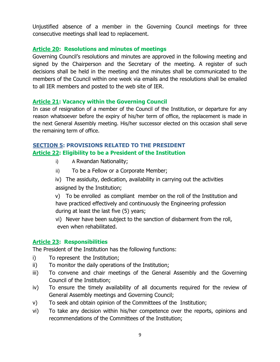Unjustified absence of a member in the Governing Council meetings for three consecutive meetings shall lead to replacement.

## <span id="page-16-0"></span>**Article 20: Resolutions and minutes of meetings**

Governing Council's resolutions and minutes are approved in the following meeting and signed by the Chairperson and the Secretary of the meeting. A register of such decisions shall be held in the meeting and the minutes shall be communicated to the members of the Council within one week via emails and the resolutions shall be emailed to all IER members and posted to the web site of IER.

## <span id="page-16-1"></span>**Article 21: Vacancy within the Governing Council**

In case of resignation of a member of the Council of the Institution, or departure for any reason whatsoever before the expiry of his/her term of office, the replacement is made in the next General Assembly meeting. His/her successor elected on this occasion shall serve the remaining term of office.

# <span id="page-16-3"></span><span id="page-16-2"></span>**SECTION 5: PROVISIONS RELATED TO THE PRESIDENT Article 22: Eligibility to be a President of the Institution**

- i) A Rwandan Nationality;
- ii) To be a Fellow or a Corporate Member;

iv) The assiduity, dedication, availability in carrying out the activities assigned by the Institution;

v) To be enrolled as compliant member on the roll of the Institution and have practiced effectively and continuously the Engineering profession during at least the last five (5) years;

vi) Never have been subject to the sanction of disbarment from the roll, even when rehabilitated.

## <span id="page-16-4"></span>**Article 23: Responsibilities**

The President of the Institution has the following functions:

- i) To represent the Institution;
- ii) To monitor the daily operations of the Institution;
- iii) To convene and chair meetings of the General Assembly and the Governing Council of the Institution;
- iv) To ensure the timely availability of all documents required for the review of General Assembly meetings and Governing Council;
- v) To seek and obtain opinion of the Committees of the Institution;
- vi) To take any decision within his/her competence over the reports, opinions and recommendations of the Committees of the Institution;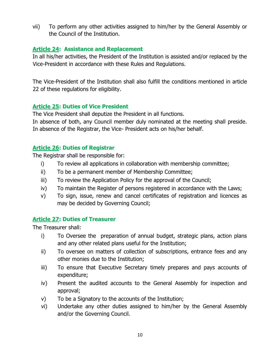vii) To perform any other activities assigned to him/her by the General Assembly or the Council of the Institution.

## <span id="page-17-0"></span>**Article 24: Assistance and Replacement**

In all his/her activities, the President of the Institution is assisted and/or replaced by the Vice-President in accordance with these Rules and Regulations.

The Vice-President of the Institution shall also fulfill the conditions mentioned in article 22 of these regulations for eligibility.

## <span id="page-17-1"></span>**Article 25: Duties of Vice President**

The Vice President shall deputize the President in all functions.

In absence of both, any Council member duly nominated at the meeting shall preside. In absence of the Registrar, the Vice- President acts on his/her behalf.

## <span id="page-17-2"></span>**Article 26: Duties of Registrar**

The Registrar shall be responsible for:

- i) To review all applications in collaboration with membership committee;
- ii) To be a permanent member of Membership Committee;
- iii) To review the Application Policy for the approval of the Council;
- iv) To maintain the Register of persons registered in accordance with the Laws;
- v) To sign, issue, renew and cancel certificates of registration and licences as may be decided by Governing Council;

## <span id="page-17-3"></span>**Article 27: Duties of Treasurer**

The Treasurer shall:

- i) To Oversee the preparation of annual budget, strategic plans, action plans and any other related plans useful for the Institution;
- ii) To oversee on matters of collection of subscriptions, entrance fees and any other monies due to the Institution;
- iii) To ensure that Executive Secretary timely prepares and pays accounts of expenditure;
- iv) Present the audited accounts to the General Assembly for inspection and approval;
- v) To be a Signatory to the accounts of the Institution;
- vi) Undertake any other duties assigned to him/her by the General Assembly and/or the Governing Council.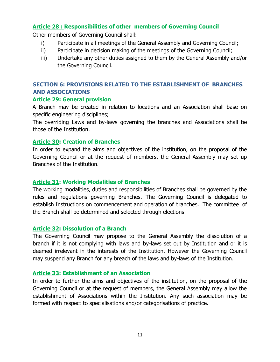## <span id="page-18-0"></span>**Article 28 : Responsibilities of other members of Governing Council**

Other members of Governing Council shall:

- i) Participate in all meetings of the General Assembly and Governing Council;
- ii) Participate in decision making of the meetings of the Governing Council;
- iii) Undertake any other duties assigned to them by the General Assembly and/or the Governing Council.

## <span id="page-18-1"></span>**SECTION 6: PROVISIONS RELATED TO THE ESTABLISHMENT OF BRANCHES AND ASSOCIATIONS**

#### <span id="page-18-2"></span>**Article 29: General provision**

A Branch may be created in relation to locations and an Association shall base on specific engineering disciplines;

The overriding Laws and by-laws governing the branches and Associations shall be those of the Institution.

## <span id="page-18-3"></span>**Article 30: Creation of Branches**

In order to expand the aims and objectives of the institution, on the proposal of the Governing Council or at the request of members, the General Assembly may set up Branches of the Institution.

#### <span id="page-18-4"></span>**Article 31: Working Modalities of Branches**

The working modalities, duties and responsibilities of Branches shall be governed by the rules and regulations governing Branches. The Governing Council is delegated to establish Instructions on commencement and operation of branches. The committee of the Branch shall be determined and selected through elections.

#### <span id="page-18-5"></span>**Article 32: Dissolution of a Branch**

The Governing Council may propose to the General Assembly the dissolution of a branch if it is not complying with laws and by-laws set out by Institution and or it is deemed irrelevant in the interests of the Institution. However the Governing Council may suspend any Branch for any breach of the laws and by-laws of the Institution.

## <span id="page-18-6"></span>**Article 33: Establishment of an Association**

In order to further the aims and objectives of the institution, on the proposal of the Governing Council or at the request of members, the General Assembly may allow the establishment of Associations within the Institution. Any such association may be formed with respect to specialisations and/or categorisations of practice.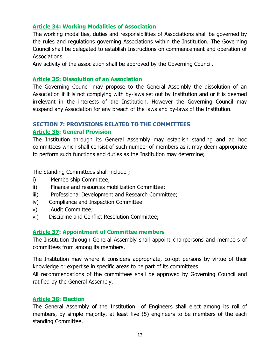## <span id="page-19-0"></span>**Article 34: Working Modalities of Association**

The working modalities, duties and responsibilities of Associations shall be governed by the rules and regulations governing Associations within the Institution. The Governing Council shall be delegated to establish Instructions on commencement and operation of Associations.

Any activity of the association shall be approved by the Governing Council.

## <span id="page-19-1"></span>**Article 35: Dissolution of an Association**

The Governing Council may propose to the General Assembly the dissolution of an Association if it is not complying with by-laws set out by Institution and or it is deemed irrelevant in the interests of the Institution. However the Governing Council may suspend any Association for any breach of the laws and by-laws of the Institution.

# <span id="page-19-3"></span><span id="page-19-2"></span>**SECTION 7: PROVISIONS RELATED TO THE COMMITTEES Article 36: General Provision**

The Institution through its General Assembly may establish standing and ad hoc committees which shall consist of such number of members as it may deem appropriate to perform such functions and duties as the Institution may determine;

The Standing Committees shall include ;

- i) Membership Committee;
- ii) Finance and resources mobilization Committee;
- iii) Professional Development and Research Committee;
- iv) Compliance and Inspection Committee.
- v) Audit Committee;
- <span id="page-19-4"></span>vi) Discipline and Conflict Resolution Committee;

# **Article 37: Appointment of Committee members**

The Institution through General Assembly shall appoint chairpersons and members of committees from among its members.

The Institution may where it considers appropriate, co-opt persons by virtue of their knowledge or expertise in specific areas to be part of its committees.

All recommendations of the committees shall be approved by Governing Council and ratified by the General Assembly.

## <span id="page-19-5"></span>**Article 38: Election**

The General Assembly of the Institution of Engineers shall elect among its roll of members, by simple majority, at least five (5) engineers to be members of the each standing Committee.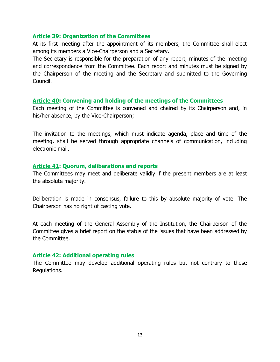#### <span id="page-20-0"></span>**Article 39: Organization of the Committees**

At its first meeting after the appointment of its members, the Committee shall elect among its members a Vice-Chairperson and a Secretary.

The Secretary is responsible for the preparation of any report, minutes of the meeting and correspondence from the Committee. Each report and minutes must be signed by the Chairperson of the meeting and the Secretary and submitted to the Governing Council.

#### <span id="page-20-1"></span>**Article 40: Convening and holding of the meetings of the Committees**

Each meeting of the Committee is convened and chaired by its Chairperson and, in his/her absence, by the Vice-Chairperson;

The invitation to the meetings, which must indicate agenda, place and time of the meeting, shall be served through appropriate channels of communication, including electronic mail.

#### <span id="page-20-2"></span>**Article 41: Quorum, deliberations and reports**

The Committees may meet and deliberate validly if the present members are at least the absolute majority.

Deliberation is made in consensus, failure to this by absolute majority of vote. The Chairperson has no right of casting vote.

At each meeting of the General Assembly of the Institution, the Chairperson of the Committee gives a brief report on the status of the issues that have been addressed by the Committee.

## <span id="page-20-3"></span>**Article 42: Additional operating rules**

<span id="page-20-4"></span>The Committee may develop additional operating rules but not contrary to these Regulations.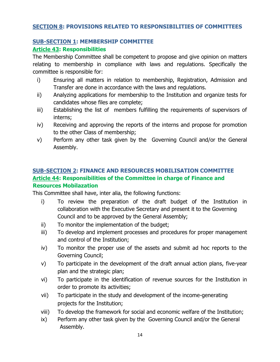## **SECTION 8: PROVISIONS RELATED TO RESPONSIBILITIES OF COMMITTEES**

# <span id="page-21-0"></span>**SUB-SECTION 1: MEMBERSHIP COMMITTEE**

## <span id="page-21-1"></span>**Article 43: Responsibilities**

The Membership Committee shall be competent to propose and give opinion on matters relating to membership in compliance with laws and regulations. Specifically the committee is responsible for:

- i) Ensuring all matters in relation to membership, Registration, Admission and Transfer are done in accordance with the laws and regulations.
- ii) Analyzing applications for membership to the Institution and organize tests for candidates whose files are complete;
- iii) Establishing the list of members fulfilling the requirements of supervisors of interns;
- iv) Receiving and approving the reports of the interns and propose for promotion to the other Class of membership;
- v) Perform any other task given by the Governing Council and/or the General Assembly.

# <span id="page-21-3"></span><span id="page-21-2"></span>**SUB-SECTION 2: FINANCE AND RESOURCES MOBILISATION COMMITTEE Article 44: Responsibilities of the Committee in charge of Finance and Resources Mobilazation**

This Committee shall have, inter alia, the following functions:

- i) To review the preparation of the draft budget of the Institution in collaboration with the Executive Secretary and present it to the Governing Council and to be approved by the General Assembly;
- ii) To monitor the implementation of the budget;
- iii) To develop and implement processes and procedures for proper management and control of the Institution;
- iv) To monitor the proper use of the assets and submit ad hoc reports to the Governing Council;
- v) To participate in the development of the draft annual action plans, five-year plan and the strategic plan;
- vi) To participate in the identification of revenue sources for the Institution in order to promote its activities;
- vii) To participate in the study and development of the income-generating projects for the Institution;
- viii) To develop the framework for social and economic welfare of the Institution;
- ix) Perform any other task given by the Governing Council and/or the General Assembly.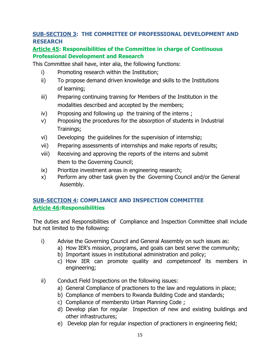# <span id="page-22-0"></span>**SUB-SECTION 3: THE COMMITTEE OF PROFESSIONAL DEVELOPMENT AND RESEARCH**

## <span id="page-22-1"></span>**Article 45: Responsibilities of the Committee in charge of Continuous Professional Development and Research**

This Committee shall have, inter alia, the following functions:

- i) Promoting research within the Institution;
- ii) To propose demand driven knowledge and skills to the Institutions of learning;
- iii) Preparing continuing training for Members of the Institution in the modalities described and accepted by the members;
- iv) Proposing and following up the training of the interns ;
- v) Proposing the procedures for the absorption of students in Industrial Trainings;
- vi) Developing the guidelines for the supervision of internship;
- vii) Preparing assessments of internships and make reports of results;
- viii) Receiving and approving the reports of the interns and submit them to the Governing Council;
- ix) Prioritize investment areas in engineering research;
- x) Perform any other task given by the Governing Council and/or the General Assembly.

# <span id="page-22-3"></span><span id="page-22-2"></span>**SUB-SECTION 4: COMPLIANCE AND INSPECTION COMMITTEE Article 46:Responsibilities**

The duties and Responsibilities of Compliance and Inspection Committee shall include but not limited to the following:

- i) Advise the Governing Council and General Assembly on such issues as:
	- a) How IER's mission, programs, and goals can best serve the community;
	- b) Important issues in institutional administration and policy;
	- c) How IER can promote quality and competenceof its members in engineering;
- ii) Conduct Field Inspections on the following issues:
	- a) General Compliance of practioners to the law and regulations in place;
	- b) Compliance of members to Rwanda Building Code and standards;
	- c) Compliance of membersto Urban Planning Code ;
	- d) Develop plan for regular Inspection of new and existing buildings and other infrastructures;
	- e) Develop plan for regular inspection of practioners in engineering field;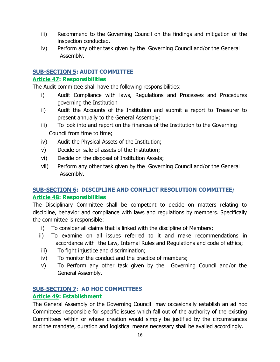- iii) Recommend to the Governing Council on the findings and mitigation of the inspection conducted.
- iv) Perform any other task given by the Governing Council and/or the General Assembly.

## <span id="page-23-0"></span>**SUB-SECTION 5: AUDIT COMMITTEE**

#### <span id="page-23-1"></span>**Article 47: Responsibilities**

The Audit committee shall have the following responsibilities:

- i) Audit Compliance with laws, Regulations and Processes and Procedures governing the Institution
- ii) Audit the Accounts of the Institution and submit a report to Treasurer to present annually to the General Assembly;
- iii) To look into and report on the finances of the Institution to the Governing Council from time to time;
- iv) Audit the Physical Assets of the Institution;
- v) Decide on sale of assets of the Institution;
- vi) Decide on the disposal of Institution Assets;
- vii) Perform any other task given by the Governing Council and/or the General Assembly.

# <span id="page-23-3"></span><span id="page-23-2"></span>**SUB-SECTION 6: DISCIPLINE AND CONFLICT RESOLUTION COMMITTEE; Article 48: Responsibilities**

The Disciplinary Committee shall be competent to decide on matters relating to discipline, behavior and compliance with laws and regulations by members. Specifically the committee is responsible:

- i) To consider all claims that is linked with the discipline of Members;
- ii) To examine on all issues referred to it and make recommendations in accordance with the Law, Internal Rules and Regulations and code of ethics;
- iii) To fight injustice and discrimination;
- iv) To monitor the conduct and the practice of members;
- v) To Perform any other task given by the Governing Council and/or the General Assembly.

# <span id="page-23-4"></span>**SUB-SECTION 7: AD HOC COMMITTEES**

## <span id="page-23-5"></span>**Article 49: Establishment**

The General Assembly or the Governing Council may occasionally establish an ad hoc Committees responsible for specific issues which fall out of the authority of the existing Committees within or whose creation would simply be justified by the circumstances and the mandate, duration and logistical means necessary shall be availed accordingly.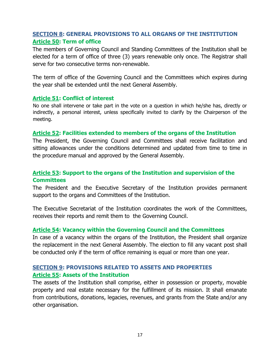# <span id="page-24-1"></span><span id="page-24-0"></span>**SECTION 8: GENERAL PROVISIONS TO ALL ORGANS OF THE INSTITUTION Article 50: Term of office**

The members of Governing Council and Standing Committees of the Institution shall be elected for a term of office of three (3) years renewable only once. The Registrar shall serve for two consecutive terms non-renewable.

The term of office of the Governing Council and the Committees which expires during the year shall be extended until the next General Assembly.

#### <span id="page-24-2"></span>**Article 51: Conflict of interest**

No one shall intervene or take part in the vote on a question in which he/she has, directly or indirectly, a personal interest, unless specifically invited to clarify by the Chairperson of the meeting.

#### <span id="page-24-3"></span>**Article 52: Facilities extended to members of the organs of the Institution**

The President, the Governing Council and Committees shall receive facilitation and sitting allowances under the conditions determined and updated from time to time in the procedure manual and approved by the General Assembly.

## <span id="page-24-4"></span>**Article 53: Support to the organs of the Institution and supervision of the Committees**

The President and the Executive Secretary of the Institution provides permanent support to the organs and Committees of the Institution.

The Executive Secretariat of the Institution coordinates the work of the Committees, receives their reports and remit them to the Governing Council.

## <span id="page-24-5"></span>**Article 54: Vacancy within the Governing Council and the Committees**

In case of a vacancy within the organs of the Institution, the President shall organize the replacement in the next General Assembly. The election to fill any vacant post shall be conducted only if the term of office remaining is equal or more than one year.

## <span id="page-24-7"></span><span id="page-24-6"></span>**SECTION 9: PROVISIONS RELATED TO ASSETS AND PROPERTIES Article 55: Assets of the Institution**

The assets of the Institution shall comprise, either in possession or property, movable property and real estate necessary for the fulfillment of its mission. It shall emanate from contributions, donations, legacies, revenues, and grants from the State and/or any other organisation.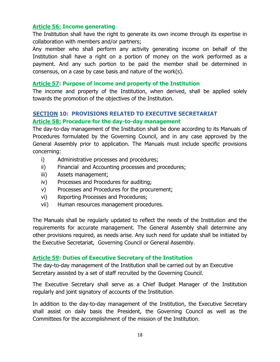#### <span id="page-25-0"></span>**Article 56: Income generating**

The Institution shall have the right to generate its own income through its expertise in collaboration with members and/or partners;

Any member who shall perform any activity generating income on behalf of the Institution shall have a right on a portion of money on the work performed as a payment. And any such portion to be paid the member shall be determined in consensus, on a case by case basis and nature of the work(s).

#### <span id="page-25-1"></span>**Article 57: Purpose of income and property of the Institution**

The income and property of the Institution, when derived, shall be applied solely towards the promotion of the objectives of the Institution.

# <span id="page-25-3"></span><span id="page-25-2"></span>**SECTION 10: PROVISIONS RELATED TO EXECUTIVE SECRETARIAT Article 58: Procedure for the day-to-day management**

The day-to-day management of the Institution shall be done according to its Manuals of Procedures formulated by the Governing Council, and in any case approved by the General Assembly prior to application. The Manuals must include specific provisions concerning:

- i) Administrative processes and procedures;
- ii) Financial and Accounting processes and procedures;
- iii) Assets management;
- iv) Processes and Procedures for auditing;
- v) Processes and Procedures for the procurement;
- vi) Reporting Processes and Procedures;
- vii) Human resources management procedures.

The Manuals shall be regularly updated to reflect the needs of the Institution and the requirements for accurate management. The General Assembly shall determine any other provisions required, as needs arise. Any such need for update shall be initiated by the Executive Secretariat, Governing Council or General Assembly.

#### <span id="page-25-4"></span>**Article 59: Duties of Executive Secretary of the Institution**

The day-to-day management of the Institution shall be carried out by an Executive Secretary assisted by a set of staff recruited by the Governing Council.

The Executive Secretary shall serve as a Chief Budget Manager of the Institution regularly and joint signatory of accounts of the Institution.

In addition to the day-to-day management of the Institution, the Executive Secretary shall assist on daily basis the President, the Governing Council as well as the Committees for the accomplishment of the mission of the Institution.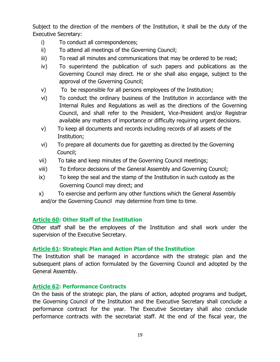Subject to the direction of the members of the Institution, it shall be the duty of the Executive Secretary:

- i) To conduct all correspondences;
- ii) To attend all meetings of the Governing Council;
- iii) To read all minutes and communications that may be ordered to be read;
- iv) To superintend the publication of such papers and publications as the Governing Council may direct. He or she shall also engage, subject to the approval of the Governing Council;
- v) To be responsible for all persons employees of the Institution;
- vi) To conduct the ordinary business of the Institution in accordance with the Internal Rules and Regulations as well as the directions of the Governing Council, and shall refer to the President, Vice-President and/or Registrar available any matters of importance or difficulty requiring urgent decisions.
- v) To keep all documents and records including records of all assets of the Institution;
- vi) To prepare all documents due for gazetting as directed by the Governing Council;
- vii) To take and keep minutes of the Governing Council meetings;
- viii) To Enforce decisions of the General Assembly and Governing Council;
- ix) To keep the seal and the stamp of the Institution in such custody as the Governing Council may direct; and
- x) To exercise and perform any other functions which the General Assembly and/or the Governing Council may determine from time to time.

## <span id="page-26-0"></span>**Article 60: Other Staff of the Institution**

Other staff shall be the employees of the Institution and shall work under the supervision of the Executive Secretary.

## <span id="page-26-1"></span>**Article 61: Strategic Plan and Action Plan of the Institution**

The Institution shall be managed in accordance with the strategic plan and the subsequent plans of action formulated by the Governing Council and adopted by the General Assembly.

#### <span id="page-26-2"></span>**Article 62: Performance Contracts**

On the basis of the strategic plan, the plans of action, adopted programs and budget, the Governing Council of the Institution and the Executive Secretary shall conclude a performance contract for the year. The Executive Secretary shall also conclude performance contracts with the secretariat staff. At the end of the fiscal year, the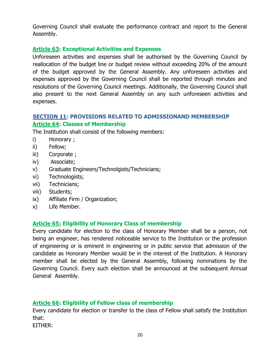Governing Council shall evaluate the performance contract and report to the General Assembly.

## <span id="page-27-0"></span>**Article 63: Exceptional Activities and Expenses**

Unforeseen activities and expenses shall be authorised by the Governing Council by reallocation of the budget line or budget review without exceeding 20% of the amount of the budget approved by the General Assembly. Any unforeseen activities and expenses approved by the Governing Council shall be reported through minutes and resolutions of the Governing Council meetings. Additionally, the Governing Council shall also present to the next General Assembly on any such unforeseen activities and expenses.

## <span id="page-27-1"></span>**SECTION 11: PROVISIONS RELATED TO ADMISSIONAND MEMBERSHIP Article 64: Classes of Membership**

<span id="page-27-2"></span>The Institution shall consist of the following members:

- i) Honorary ;
- ii) Fellow;
- iii) Corporate ;
- iv) Associate;
- v) Graduate Engineers/Technolgists/Technicians;
- vi) Technologists;
- vii) Technicians;
- viii) Students;
- ix) Affiliate Firm / Organization;
- x) Life Member.

## <span id="page-27-3"></span>**Article 65: Eligibility of Honorary Class of membership**

Every candidate for election to the class of Honorary Member shall be a person, not being an engineer, has rendered noticeable service to the Institution or the profession of engineering or is eminent in engineering or in public service that admission of the candidate as Honorary Member would be in the interest of the Institution. A Honorary member shall be elected by the General Assembly, following nominations by the Governing Council. Every such election shall be announced at the subsequent Annual General Assembly.

# <span id="page-27-4"></span>**Article 66: Eligibility of Fellow class of membership**

Every candidate for election or transfer to the class of Fellow shall satisfy the Institution that:

EITHER: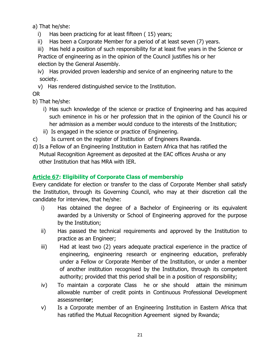a) That he/she:

- i) Has been practicing for at least fifteen ( 15) years;
- ii) Has been a Corporate Member for a period of at least seven (7) years.

iii) Has held a position of such responsibility for at least five years in the Science or Practice of engineering as in the opinion of the Council justifies his or her election by the General Assembly.

iv) Has provided proven leadership and service of an engineering nature to the society.

v) Has rendered distinguished service to the Institution.

# OR

b) That he/she:

- i) Has such knowledge of the science or practice of Engineering and has acquired such eminence in his or her profession that in the opinion of the Council his or her admission as a member would conduce to the interests of the Institution;
- ii) Is engaged in the science or practice of Engineering.
- c) Is current on the register of Institution of Engineers Rwanda.
- d) Is a Fellow of an Engineering Institution in Eastern Africa that has ratified the Mutual Recognition Agreement as deposited at the EAC offices Arusha or any other Institution that has MRA with IER.

# <span id="page-28-0"></span>**Article 67: Eligibility of Corporate Class of membership**

Every candidate for election or transfer to the class of Corporate Member shall satisfy the Institution, through its Governing Council, who may at their discretion call the candidate for interview, that he/she:

- i) Has obtained the degree of a Bachelor of Engineering or its equivalent awarded by a University or School of Engineering approved for the purpose by the Institution;
- ii) Has passed the technical requirements and approved by the Institution to practice as an Engineer;
- iii) Had at least two (2) years adequate practical experience in the practice of engineering, engineering research or engineering education, preferably under a Fellow or Corporate Member of the Institution, or under a member of another institution recognised by the Institution, through its competent authority; provided that this period shall be in a position of responsibility;
- iv) To maintain a corporate Class he or she should attain the minimum allowable number of credit points in Continuous Professional Development assessment**or**;
- v) Is a Corporate member of an Engineering Institution in Eastern Africa that has ratified the Mutual Recognition Agreement signed by Rwanda;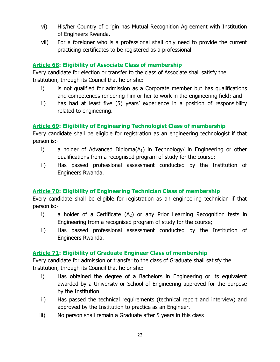- vi) His/her Country of origin has Mutual Recognition Agreement with Institution of Engineers Rwanda.
- vii) For a foreigner who is a professional shall only need to provide the current practicing certificates to be registered as a professional.

# <span id="page-29-0"></span>**Article 68: Eligibility of Associate Class of membership**

Every candidate for election or transfer to the class of Associate shall satisfy the Institution, through its Council that he or she:-

- i) is not qualified for admission as a Corporate member but has qualifications and competences rendering him or her to work in the engineering field; and
- ii) has had at least five (5) years' experience in a position of responsibility related to engineering.

# <span id="page-29-1"></span>**Article 69: Eligibility of Engineering Technologist Class of membership**

Every candidate shall be eligible for registration as an engineering technologist if that person is:-

- i) a holder of Advanced Diploma $(A_1)$  in Technology/ in Engineering or other qualifications from a recognised program of study for the course;
- ii) Has passed professional assessment conducted by the Institution of Engineers Rwanda.

# <span id="page-29-2"></span>**Article 70: Eligibility of Engineering Technician Class of membership**

Every candidate shall be eligible for registration as an engineering technician if that person is:-

- i) a holder of a Certificate  $(A_2)$  or any Prior Learning Recognition tests in Engineering from a recognised program of study for the course;
- ii) Has passed professional assessment conducted by the Institution of Engineers Rwanda.

# <span id="page-29-3"></span>**Article 71: Eligibility of Graduate Engineer Class of membership**

Every candidate for admission or transfer to the class of Graduate shall satisfy the Institution, through its Council that he or she:-

- i) Has obtained the degree of a Bachelors in Engineering or its equivalent awarded by a University or School of Engineering approved for the purpose by the Institution
- ii) Has passed the technical requirements (technical report and interview) and approved by the Institution to practice as an Engineer.
- iii) No person shall remain a Graduate after 5 years in this class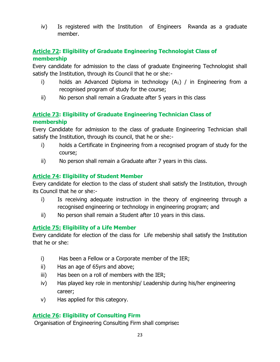iv) Is registered with the Institution of Engineers Rwanda as a graduate member.

# <span id="page-30-0"></span>**Article 72: Eligibility of Graduate Engineering Technologist Class of membership**

Every candidate for admission to the class of graduate Engineering Technologist shall satisfy the Institution, through its Council that he or she:-

- i) holds an Advanced Diploma in technology  $(A_1)$  / in Engineering from a recognised program of study for the course;
- ii) No person shall remain a Graduate after 5 years in this class

# <span id="page-30-1"></span>**Article 73: Eligibility of Graduate Engineering Technician Class of membership**

Every Candidate for admission to the class of graduate Engineering Technician shall satisfy the Institution, through its council, that he or she:-

- i) holds a Certificate in Engineering from a recognised program of study for the course;
- ii) No person shall remain a Graduate after 7 years in this class.

# <span id="page-30-2"></span>**Article 74: Eligibility of Student Member**

Every candidate for election to the class of student shall satisfy the Institution, through its Council that he or she:-

- i) Is receiving adequate instruction in the theory of engineering through a recognised engineering or technology in engineering program; and
- ii) No person shall remain a Student after 10 years in this class.

# <span id="page-30-3"></span>**Article 75: Eligibility of a Life Member**

Every candidate for election of the class for Life mebership shall satisfy the Institution that he or she:

- i) Has been a Fellow or a Corporate member of the IER;
- ii) Has an age of 65yrs and above;
- iii) Has been on a roll of members with the IER;
- iv) Has played key role in mentorship/ Leadership during his/her engineering career;
- v) Has applied for this category.

# <span id="page-30-4"></span>**Article 76: Eligibility of Consulting Firm**

Organisation of Engineering Consulting Firm shall comprise**:**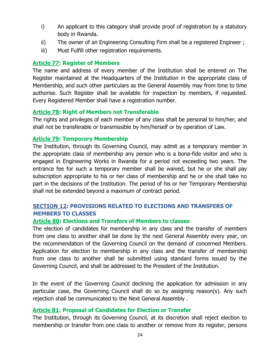- i) An applicant to this category shall provide proof of registration by a statutory body in Rwanda.
- ii) The owner of an Engineering Consulting Firm shall be a registered Engineer;
- iii) Must Fulfill other registration requirements.

## <span id="page-31-0"></span>**Article 77: Register of Members**

The name and address of every member of the Institution shall be entered on The Register maintained at the Headquarters of the Institution in the appropriate class of Membership, and such other particulars as the General Assembly may from time to time authorise. Such Register shall be available for inspection by members, if requested. Every Registered Member shall have a registration number.

## <span id="page-31-1"></span>**Article 78: Right of Members not Transferable**

The rights and privileges of each member of any class shall be personal to him/her, and shall not be transferable or transmissible by him/herself or by operation of Law.

## <span id="page-31-2"></span>**Article 79: Temporary Membership**

The Institution, through its Governing Council, may admit as a temporary member in the appropriate class of membership any person who is a bona-fide visitor and who is engaged in Engineering Works in Rwanda for a period not exceeding two years. The entrance fee for such a temporary member shall be waived, but he or she shall pay subscription appropriate to his or her class of membership and he or she shall take no part in the decisions of the Institution. The period of his or her Temporary Membership shall not be extended beyond a maximum of contract period.

# <span id="page-31-3"></span>**SECTION 12: PROVISIONS RELATED TO ELECTIONS AND TRANSFERS OF MEMBERS TO CLASSES**

## <span id="page-31-4"></span>**Article 80: Elections and Transfers of Members to classes**

The election of candidates for membership in any class and the transfer of members from one class to another shall be done by the next General Assembly every year, on the recommendation of the Governing Council on the demand of concerned Members. Application for election to membership in any class and the transfer of membership from one class to another shall be submitted using standard forms issued by the Governing Council, and shall be addressed to the President of the Institution.

In the event of the Governing Council declining the application for admission in any particular case, the Governing Council shall do so by assigning reason(s). Any such rejection shall be communicated to the Next General Assembly .

## <span id="page-31-5"></span>**Article 81: Proposal of Candidates for Election or Transfer**

The Institution, through its Governing Council, at its discretion shall reject election to membership or transfer from one class to another or remove from its register, persons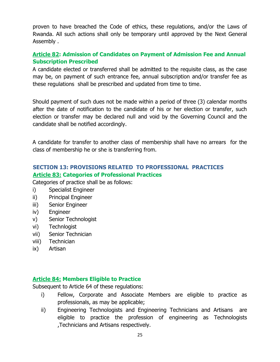proven to have breached the Code of ethics, these regulations, and/or the Laws of Rwanda. All such actions shall only be temporary until approved by the Next General Assembly .

# <span id="page-32-0"></span>**Article 82: Admission of Candidates on Payment of Admission Fee and Annual Subscription Prescribed**

A candidate elected or transferred shall be admitted to the requisite class, as the case may be, on payment of such entrance fee, annual subscription and/or transfer fee as these regulations shall be prescribed and updated from time to time.

Should payment of such dues not be made within a period of three (3) calendar months after the date of notification to the candidate of his or her election or transfer, such election or transfer may be declared null and void by the Governing Council and the candidate shall be notified accordingly.

A candidate for transfer to another class of membership shall have no arrears for the class of membership he or she is transferring from.

# <span id="page-32-2"></span><span id="page-32-1"></span>**SECTION 13: PROVISIONS RELATED TO PROFESSIONAL PRACTICES Article 83: Categories of Professional Practices**

Categories of practice shall be as follows:

- i) Specialist Engineer
- ii) Principal Engineer
- iii) Senior Engineer
- iv) Engineer
- v) Senior Technologist
- vi) Technlogist
- vii) Senior Technician
- viii) Technician
- ix) Artisan

# <span id="page-32-3"></span>**Article 84: Members Eligible to Practice**

Subsequent to Article 64 of these regulations:

- i) Fellow, Corporate and Associate Members are eligible to practice as professionals, as may be applicable;
- ii) Engineering Technologists and Engineering Technicians and Artisans are eligible to practice the profession of engineering as Technologists ,Technicians and Artisans respectively.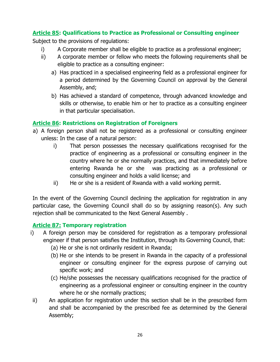## <span id="page-33-0"></span>**Article 85: Qualifications to Practice as Professional or Consulting engineer**

Subject to the provisions of regulations:

- i) A Corporate member shall be eligible to practice as a professional engineer;
- ii) A corporate member or fellow who meets the following requirements shall be eligible to practice as a consulting engineer:
	- a) Has practiced in a specialised engineering field as a professional engineer for a period determined by the Governing Council on approval by the General Assembly, and;
	- b) Has achieved a standard of competence, through advanced knowledge and skills or otherwise, to enable him or her to practice as a consulting engineer in that particular specialisation.

## <span id="page-33-1"></span>**Article 86: Restrictions on Registration of Foreigners**

- a) A foreign person shall not be registered as a professional or consulting engineer unless: In the case of a natural person:
	- i) That person possesses the necessary qualifications recognised for the practice of engineering as a professional or consulting engineer in the country where he or she normally practices, and that immediately before entering Rwanda he or she was practicing as a professional or consulting engineer and holds a valid license; and
	- ii) He or she is a resident of Rwanda with a valid working permit.

In the event of the Governing Council declining the application for registration in any particular case, the Governing Council shall do so by assigning reason(s). Any such rejection shall be communicated to the Next General Assembly .

## <span id="page-33-2"></span>**Article 87: Temporary registration**

- i) A foreign person may be considered for registration as a temporary professional engineer if that person satisfies the Institution, through its Governing Council, that:
	- (a) He or she is not ordinarily resident in Rwanda;
	- (b) He or she intends to be present in Rwanda in the capacity of a professional engineer or consulting engineer for the express purpose of carrying out specific work; and
	- (c) He/she possesses the necessary qualifications recognised for the practice of engineering as a professional engineer or consulting engineer in the country where he or she normally practices;
- ii) An application for registration under this section shall be in the prescribed form and shall be accompanied by the prescribed fee as determined by the General Assembly;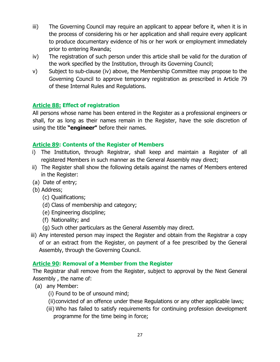- iii) The Governing Council may require an applicant to appear before it, when it is in the process of considering his or her application and shall require every applicant to produce documentary evidence of his or her work or employment immediately prior to entering Rwanda;
- iv) The registration of such person under this article shall be valid for the duration of the work specified by the Institution, through its Governing Council;
- v) Subject to sub-clause (iv) above, the Membership Committee may propose to the Governing Council to approve temporary registration as prescribed in Article 79 of these Internal Rules and Regulations.

# <span id="page-34-0"></span>**Article 88: Effect of registration**

All persons whose name has been entered in the Register as a professional engineers or shall, for as long as their names remain in the Register, have the sole discretion of using the title **"engineer"** before their names.

# <span id="page-34-1"></span>**Article 89: Contents of the Register of Members**

- i) The Institution, through Registrar, shall keep and maintain a Register of all registered Members in such manner as the General Assembly may direct;
- ii) The Register shall show the following details against the names of Members entered in the Register:
- (a) Date of entry;
- (b) Address;
	- (c) Qualifications;
	- (d) Class of membership and category;
	- (e) Engineering discipline;
	- (f) Nationality; and
	- (g) Such other particulars as the General Assembly may direct.
- iii) Any interested person may inspect the Register and obtain from the Registrar a copy of or an extract from the Register, on payment of a fee prescribed by the General Assembly, through the Governing Council.

# <span id="page-34-2"></span>**Article 90: Removal of a Member from the Register**

The Registrar shall remove from the Register, subject to approval by the Next General Assembly , the name of:

- (a) any Member:
	- (i) Found to be of unsound mind;
	- (ii)convicted of an offence under these Regulations or any other applicable laws;
	- (iii) Who has failed to satisfy requirements for continuing profession development programme for the time being in force;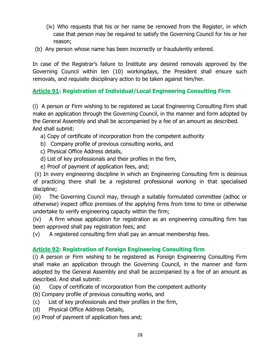- (iv) Who requests that his or her name be removed from the Register, in which case that person may be required to satisfy the Governing Council for his or her reason;
- (b) Any person whose name has been incorrectly or fraudulently entered.

In case of the Registrar's failure to Institute any desired removals approved by the Governing Council within ten (10) workingdays, the President shall ensure such removals, and requisite disciplinary action to be taken against him/her.

## <span id="page-35-0"></span>**Article 91: Registration of Individual/Local Engineering Consulting Firm**

(i) A person or Firm wishing to be registered as Local Engineering Consulting Firm shall make an application through the Governing Council, in the manner and form adopted by the General Assembly and shall be accompanied by a fee of an amount as described. And shall submit:

- a) Copy of certificate of incorporation from the competent authority
- b) Company profile of previous consulting works, and
- c) Physical Office Address details,
- d) List of key professionals and their profiles in the firm,
- e) Proof of payment of application fees, and;

(ii) In every engineering discipline in which an Engineering Consulting firm is desirous of practicing there shall be a registered professional working in that specialised discipline;

(iii) The Governing Council may, through a suitably formulated committee (adhoc or otherwise) inspect office premises of the applying firms from time to time or otherwise undertake to verify engineering capacity within the firm;

(iv) A firm whose application for registration as an engineering consulting firm has been approved shall pay registration fees; and

(v) A registered consulting firm shall pay an annual membership fees.

# <span id="page-35-1"></span>**Article 92: Registration of Foreign Engineering Consulting firm**

(i) A person or Firm wishing to be registered as Foreign Engineering Consulting Firm shall make an application through the Governing Council, in the manner and form adopted by the General Assembly and shall be accompanied by a fee of an amount as described. And shall submit:

- (a) Copy of certificate of incorporation from the competent authority
- (b) Company profile of previous consulting works, and
- (c) List of key professionals and their profiles in the firm,
- (d) Physical Office Address Details,
- (e) Proof of payment of application fees and;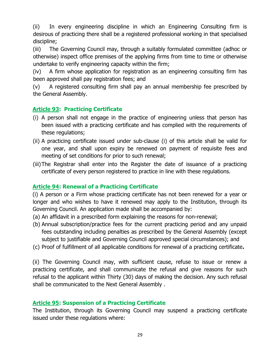(ii) In every engineering discipline in which an Engineering Consulting firm is desirous of practicing there shall be a registered professional working in that specialised discipline;

(iii) The Governing Council may, through a suitably formulated committee (adhoc or otherwise) inspect office premises of the applying firms from time to time or otherwise undertake to verify engineering capacity within the firm;

(iv) A firm whose application for registration as an engineering consulting firm has been approved shall pay registration fees; and

(v) A registered consulting firm shall pay an annual membership fee prescribed by the General Assembly.

# <span id="page-36-0"></span>**Article 93: Practicing Certificate**

- (i) A person shall not engage in the practice of engineering unless that person has been issued with a practicing certificate and has complied with the requirements of these regulations;
- (ii) A practicing certificate issued under sub-clause (i) of this article shall be valid for one year, and shall upon expiry be renewed on payment of requisite fees and meeting of set conditions for prior to such renewal;
- (iii)The Registrar shall enter into the Register the date of issuance of a practicing certificate of every person registered to practice in line with these regulations.

# <span id="page-36-1"></span>**Article 94: Renewal of a Practicing Certificate**

(i) A person or a Firm whose practicing certificate has not been renewed for a year or longer and who wishes to have it renewed may apply to the Institution, through its Governing Council. An application made shall be accompanied by:

- (a) An affidavit in a prescribed form explaining the reasons for non-renewal;
- (b) Annual subscription/practice fees for the current practicing period and any unpaid fees outstanding including penalties as prescribed by the General Assembly (except subject to justifiable and Governing Council approved special circumstances); and
- (c) Proof of fulfillment of all applicable conditions for renewal of a practicing certificate**.**

(ii) The Governing Council may, with sufficient cause, refuse to issue or renew a practicing certificate, and shall communicate the refusal and give reasons for such refusal to the applicant within Thirty (30) days of making the decision. Any such refusal shall be communicated to the Next General Assembly .

# <span id="page-36-2"></span>**Article 95: Suspension of a Practicing Certificate**

The Institution, through its Governing Council may suspend a practicing certificate issued under these regulations where: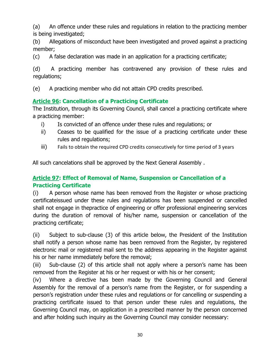(a) An offence under these rules and regulations in relation to the practicing member is being investigated;

(b) Allegations of misconduct have been investigated and proved against a practicing member;

(c) A false declaration was made in an application for a practicing certificate;

(d) A practicing member has contravened any provision of these rules and regulations;

(e) A practicing member who did not attain CPD credits prescribed.

# <span id="page-37-0"></span>**Article 96: Cancellation of a Practicing Certificate**

The Institution, through its Governing Council, shall cancel a practicing certificate where a practicing member:

- i) Is convicted of an offence under these rules and regulations; or
- ii) Ceases to be qualified for the issue of a practicing certificate under these rules and regulations;
- iii) Fails to obtain the required CPD credits consecutively for time period of 3 years

All such cancelations shall be approved by the Next General Assembly .

# <span id="page-37-1"></span>**Article 97: Effect of Removal of Name, Suspension or Cancellation of a Practicing Certificate**

(i) A person whose name has been removed from the Register or whose practicing certificateissued under these rules and regulations has been suspended or cancelled shall not engage in thepractice of engineering or offer professional engineering services during the duration of removal of his/her name, suspension or cancellation of the practicing certificate;

(ii) Subject to sub-clause (3) of this article below, the President of the Institution shall notify a person whose name has been removed from the Register, by registered electronic mail or registered mail sent to the address appearing in the Register against his or her name immediately before the removal;

(iii) Sub-clause (2) of this article shall not apply where a person's name has been removed from the Register at his or her request or with his or her consent;

(iv) Where a directive has been made by the Governing Council and General Assembly for the removal of a person's name from the Register, or for suspending a person's registration under these rules and regulations or for cancelling or suspending a practicing certificate issued to that person under these rules and regulations, the Governing Council may, on application in a prescribed manner by the person concerned and after holding such inquiry as the Governing Council may consider necessary: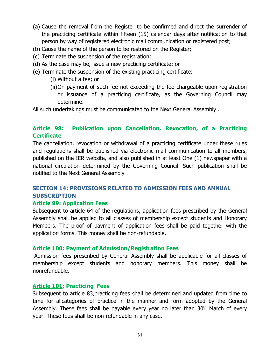- (a) Cause the removal from the Register to be confirmed and direct the surrender of the practicing certificate within fifteen (15) calendar days after notification to that person by way of registered electronic mail communication or registered post;
- (b) Cause the name of the person to be restored on the Register;
- (c) Terminate the suspension of the registration;
- (d) As the case may be, issue a new practicing certificate; or
- (e) Terminate the suspension of the existing practicing certificate:
	- (i) Without a fee; or
	- (ii)On payment of such fee not exceeding the fee chargeable upon registration or issuance of a practicing certificate, as the Governing Council may determine.

All such undertakings must be communicated to the Next General Assembly .

# <span id="page-38-0"></span>**Article 98: Publication upon Cancellation, Revocation, of a Practicing Certificate**

The cancellation, revocation or withdrawal of a practicing certificate under these rules and regulations shall be published via electronic mail communication to all members, published on the IER website, and also published in at least One (1) newspaper with a national circulation determined by the Governing Council. Such publication shall be notified to the Next General Assembly .

# <span id="page-38-1"></span>**SECTION 14: PROVISIONS RELATED TO ADMISSION FEES AND ANNUAL SUBSCRIPTION**

## <span id="page-38-2"></span>**Article 99: Application Fees**

Subsequent to article 64 of the regulations, application fees prescribed by the General Assembly shall be applied to all classes of membership except students and Honorary Members. The proof of payment of application fees shall be paid together with the application forms. This money shall be non-refundable.

## <span id="page-38-3"></span>**Article 100: Payment of Admission/Registration Fees**

Admission fees prescribed by General Assembly shall be applicable for all classes of membership except students and honorary members. This money shall be nonrefundable.

#### <span id="page-38-4"></span>**Article 101: Practicing Fees**

Subsequent to article 83,practicing fees shall be determined and updated from time to time for allcategories of practice in the manner and form adopted by the General Assembly. These fees shall be payable every year no later than  $30<sup>th</sup>$  March of every year. These fees shall be non-refundable in any case.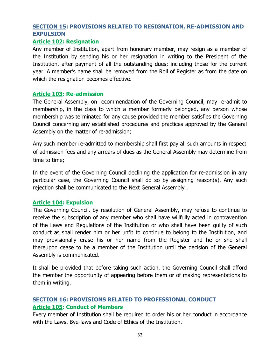# <span id="page-39-0"></span>**SECTION 15: PROVISIONS RELATED TO RESIGNATION, RE-ADMISSION AND EXPULSION**

#### <span id="page-39-1"></span>**Article 102: Resignation**

Any member of Institution, apart from honorary member, may resign as a member of the Institution by sending his or her resignation in writing to the President of the Institution, after payment of all the outstanding dues; including those for the current year. A member's name shall be removed from the Roll of Register as from the date on which the resignation becomes effective.

#### <span id="page-39-2"></span>**Article 103: Re-admission**

The General Assembly, on recommendation of the Governing Council, may re-admit to membership, in the class to which a member formerly belonged, any person whose membership was terminated for any cause provided the member satisfies the Governing Council concerning any established procedures and practices approved by the General Assembly on the matter of re-admission;

Any such member re-admitted to membership shall first pay all such amounts in respect of admission fees and any arrears of dues as the General Assembly may determine from time to time;

In the event of the Governing Council declining the application for re-admission in any particular case, the Governing Council shall do so by assigning reason(s). Any such rejection shall be communicated to the Next General Assembly .

#### <span id="page-39-3"></span>**Article 104: Expulsion**

The Governing Council, by resolution of General Assembly, may refuse to continue to receive the subscription of any member who shall have willfully acted in contravention of the Laws and Regulations of the Institution or who shall have been guilty of such conduct as shall render him or her unfit to continue to belong to the Institution, and may provisionally erase his or her name from the Register and he or she shall thereupon cease to be a member of the Institution until the decision of the General Assembly is communicated.

It shall be provided that before taking such action, the Governing Council shall afford the member the opportunity of appearing before them or of making representations to them in writing.

# <span id="page-39-4"></span>**SECTION 16: PROVISIONS RELATED TO PROFESSIONAL CONDUCT Article 105: Conduct of Members**

<span id="page-39-5"></span>Every member of Institution shall be required to order his or her conduct in accordance with the Laws, Bye-laws and Code of Ethics of the Institution.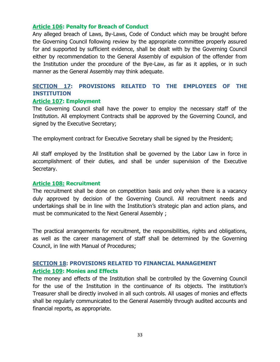#### <span id="page-40-0"></span>**Article 106: Penalty for Breach of Conduct**

Any alleged breach of Laws, By-Laws, Code of Conduct which may be brought before the Governing Council following review by the appropriate committee properly assured for and supported by sufficient evidence, shall be dealt with by the Governing Council either by recommendation to the General Assembly of expulsion of the offender from the Institution under the procedure of the Bye-Law, as far as it applies, or in such manner as the General Assembly may think adequate.

# <span id="page-40-1"></span>**SECTION 17: PROVISIONS RELATED TO THE EMPLOYEES OF THE INSTITUTION**

#### <span id="page-40-2"></span>**Article 107: Employment**

The Governing Council shall have the power to employ the necessary staff of the Institution. All employment Contracts shall be approved by the Governing Council, and signed by the Executive Secretary;

The employment contract for Executive Secretary shall be signed by the President;

All staff employed by the Institution shall be governed by the Labor Law in force in accomplishment of their duties, and shall be under supervision of the Executive Secretary.

#### <span id="page-40-3"></span>**Article 108: Recruitment**

The recruitment shall be done on competition basis and only when there is a vacancy duly approved by decision of the Governing Council. All recruitment needs and undertakings shall be in line with the Institution's strategic plan and action plans, and must be communicated to the Next General Assembly ;

The practical arrangements for recruitment, the responsibilities, rights and obligations, as well as the career management of staff shall be determined by the Governing Council, in line with Manual of Procedures;

## <span id="page-40-5"></span><span id="page-40-4"></span>**SECTION 18: PROVISIONS RELATED TO FINANCIAL MANAGEMENT Article 109: Monies and Effects**

The money and effects of the Institution shall be controlled by the Governing Council for the use of the Institution in the continuance of its objects. The institution's Treasurer shall be directly involved in all such controls. All usages of monies and effects shall be regularly communicated to the General Assembly through audited accounts and financial reports, as appropriate.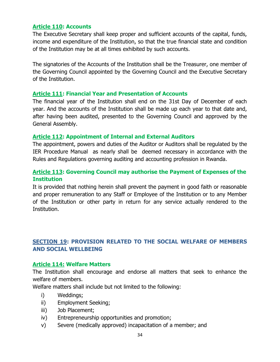#### <span id="page-41-0"></span>**Article 110: Accounts**

The Executive Secretary shall keep proper and sufficient accounts of the capital, funds, income and expenditure of the Institution, so that the true financial state and condition of the Institution may be at all times exhibited by such accounts.

The signatories of the Accounts of the Institution shall be the Treasurer, one member of the Governing Council appointed by the Governing Council and the Executive Secretary of the Institution.

#### <span id="page-41-1"></span>**Article 111: Financial Year and Presentation of Accounts**

The financial year of the Institution shall end on the 31st Day of December of each year. And the accounts of the Institution shall be made up each year to that date and, after having been audited, presented to the Governing Council and approved by the General Assembly.

#### <span id="page-41-2"></span>**Article 112: Appointment of Internal and External Auditors**

The appointment, powers and duties of the Auditor or Auditors shall be regulated by the IER Procedure Manual as nearly shall be deemed necessary in accordance with the Rules and Regulations governing auditing and accounting profession in Rwanda.

## <span id="page-41-3"></span>**Article 113: Governing Council may authorise the Payment of Expenses of the Institution**

It is provided that nothing herein shall prevent the payment in good faith or reasonable and proper remuneration to any Staff or Employee of the Institution or to any Member of the Institution or other party in return for any service actually rendered to the Institution.

## <span id="page-41-4"></span>**SECTION 19: PROVISION RELATED TO THE SOCIAL WELFARE OF MEMBERS AND SOCIAL WELLBEING**

#### <span id="page-41-5"></span>**Article 114: Welfare Matters**

The Institution shall encourage and endorse all matters that seek to enhance the welfare of members.

Welfare matters shall include but not limited to the following:

- i) Weddings;
- ii) Employment Seeking;
- iii) Job Placement;
- iv) Entrepreneurship opportunities and promotion;
- v) Severe (medically approved) incapacitation of a member; and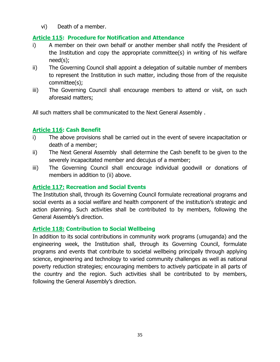vi) Death of a member.

## <span id="page-42-0"></span>**Article 115: Procedure for Notification and Attendance**

- i) A member on their own behalf or another member shall notify the President of the Institution and copy the appropriate committee(s) in writing of his welfare need(s);
- ii) The Governing Council shall appoint a delegation of suitable number of members to represent the Institution in such matter, including those from of the requisite committee(s);
- iii) The Governing Council shall encourage members to attend or visit, on such aforesaid matters;

All such matters shall be communicated to the Next General Assembly .

## <span id="page-42-1"></span>**Article 116: Cash Benefit**

- i) The above provisions shall be carried out in the event of severe incapacitation or death of a member;
- ii) The Next General Assembly shall determine the Cash benefit to be given to the severely incapacitated member and decujus of a member;
- iii) The Governing Council shall encourage individual goodwill or donations of members in addition to (ii) above.

## <span id="page-42-2"></span>**Article 117: Recreation and Social Events**

The Institution shall, through its Governing Council formulate recreational programs and social events as a social welfare and health component of the institution's strategic and action planning. Such activities shall be contributed to by members, following the General Assembly's direction.

## <span id="page-42-3"></span>**Article 118: Contribution to Social Wellbeing**

In addition to its social contributions in community work programs (umuganda) and the engineering week, the Institution shall, through its Governing Council, formulate programs and events that contribute to societal wellbeing principally through applying science, engineering and technology to varied community challenges as well as national poverty reduction strategies; encouraging members to actively participate in all parts of the country and the region. Such activities shall be contributed to by members, following the General Assembly's direction.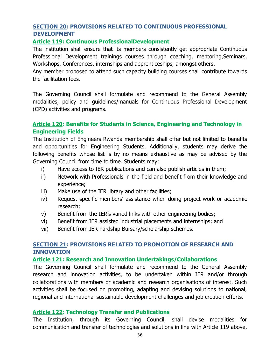# <span id="page-43-0"></span>**SECTION 20: PROVISIONS RELATED TO CONTINUOUS PROFESSIONAL DEVELOPMENT**

#### <span id="page-43-1"></span>**Article 119: Continuous ProfessionalDevelopment**

The institution shall ensure that its members consistently get appropriate Continuous Professional Development trainings courses through coaching, mentoring,Seminars, Workshops, Conferences, internships and apprenticeships, amongst others.

Any member proposed to attend such capacity building courses shall contribute towards the facilitation fees.

The Governing Council shall formulate and recommend to the General Assembly modalities, policy and guidelines/manuals for Continuous Professional Development (CPD) activities and programs.

## <span id="page-43-2"></span>**Article 120: Benefits for Students in Science, Engineering and Technology in Engineering Fields**

The Institution of Engineers Rwanda membership shall offer but not limited to benefits and opportunities for Engineering Students. Additionally, students may derive the following benefits whose list is by no means exhaustive as may be advised by the Governing Council from time to time. Students may:

- i) Have access to IER publications and can also publish articles in them;
- ii) Network with Professionals in the field and benefit from their knowledge and experience;
- iii) Make use of the IER library and other facilities;
- iv) Request specific members' assistance when doing project work or academic research;
- v) Benefit from the IER's varied links with other engineering bodies;
- vi) Benefit from IER assisted industrial placements and internships; and
- vii) Benefit from IER hardship Bursary/scholarship schemes.

## <span id="page-43-3"></span>**SECTION 21: PROVISIONS RELATED TO PROMOTION OF RESEARCH AND INNOVATION**

#### <span id="page-43-4"></span>**Article 121: Research and Innovation Undertakings/Collaborations**

The Governing Council shall formulate and recommend to the General Assembly research and innovation activities, to be undertaken within IER and/or through collaborations with members or academic and research organisations of interest. Such activities shall be focused on promoting, adapting and devising solutions to national, regional and international sustainable development challenges and job creation efforts.

## <span id="page-43-5"></span>**Article 122: Technology Transfer and Publications**

The Institution, through its Governing Council, shall devise modalities for communication and transfer of technologies and solutions in line with Article 119 above,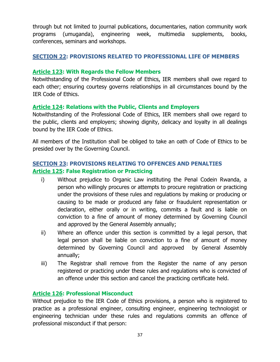through but not limited to journal publications, documentaries, nation community work programs (umuganda), engineering week, multimedia supplements, books, conferences, seminars and workshops.

## <span id="page-44-0"></span>**SECTION 22: PROVISIONS RELATED TO PROFESSIONAL LIFE OF MEMBERS**

#### <span id="page-44-1"></span>**Article 123: With Regards the Fellow Members**

Notwithstanding of the Professional Code of Ethics, IER members shall owe regard to each other; ensuring courtesy governs relationships in all circumstances bound by the IER Code of Ethics.

#### <span id="page-44-2"></span>**Article 124: Relations with the Public, Clients and Employers**

Notwithstanding of the Professional Code of Ethics, IER members shall owe regard to the public, clients and employers; showing dignity, delicacy and loyalty in all dealings bound by the IER Code of Ethics.

All members of the Institution shall be obliged to take an oath of Code of Ethics to be presided over by the Governing Council.

# <span id="page-44-4"></span><span id="page-44-3"></span>**SECTION 23: PROVISIONS RELATING TO OFFENCES AND PENALTIES Article 125: False Registration or Practicing**

- i) Without prejudice to Organic Law instituting the Penal Codein Rwanda, a person who willingly procures or attempts to procure registration or practicing under the provisions of these rules and regulations by making or producing or causing to be made or produced any false or fraudulent representation or declaration, either orally or in writing, commits a fault and is liable on conviction to a fine of amount of money determined by Governing Council and approved by the General Assembly annually;
- ii) Where an offence under this section is committed by a legal person, that legal person shall be liable on conviction to a fine of amount of money determined by Governing Council and approved by General Assembly annually;
- iii) The Registrar shall remove from the Register the name of any person registered or practicing under these rules and regulations who is convicted of an offence under this section and cancel the practicing certificate held.

## <span id="page-44-5"></span>**Article 126: Professional Misconduct**

Without prejudice to the IER Code of Ethics provisions, a person who is registered to practice as a professional engineer, consulting engineer, engineering technologist or engineering technician under these rules and regulations commits an offence of professional misconduct if that person: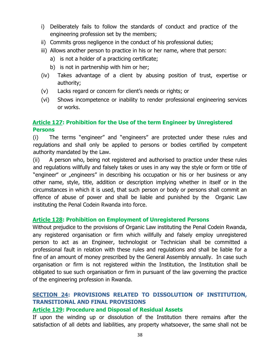- i) Deliberately fails to follow the standards of conduct and practice of the engineering profession set by the members;
- ii) Commits gross negligence in the conduct of his professional duties;
- iii) Allows another person to practice in his or her name, where that person:
	- a) is not a holder of a practicing certificate;
	- b) is not in partnership with him or her;
- (iv) Takes advantage of a client by abusing position of trust, expertise or authority;
- (v) Lacks regard or concern for client's needs or rights; or
- (vi) Shows incompetence or inability to render professional engineering services or works.

# <span id="page-45-0"></span>**Article 127: Prohibition for the Use of the term Engineer by Unregistered Persons**

(i) The terms "engineer" and "engineers" are protected under these rules and regulations and shall only be applied to persons or bodies certified by competent authority mandated by the Law.

(ii) A person who, being not registered and authorised to practice under these rules and regulations willfully and falsely takes or uses in any way the style or form or title of "engineer" or "engineers" in describing his occupation or his or her business or any other name, style, title, addition or description implying whether in itself or in the circumstances in which it is used, that such person or body or persons shall commit an offence of abuse of power and shall be liable and punished by the Organic Law instituting the Penal Codein Rwanda into force.

## <span id="page-45-1"></span>**Article 128: Prohibition on Employment of Unregistered Persons**

Without prejudice to the provisions of Organic Law instituting the Penal Codein Rwanda, any registered organisation or firm which willfully and falsely employ unregistered person to act as an Engineer, technologist or Technician shall be committed a professional fault in relation with these rules and regulations and shall be liable for a fine of an amount of money prescribed by the General Assembly annually. In case such organisation or firm is not registered within the Institution, the Institution shall be obligated to sue such organisation or firm in pursuant of the law governing the practice of the engineering profession in Rwanda.

# <span id="page-45-2"></span>**SECTION 24: PROVISIONS RELATED TO DISSOLUTION OF INSTITUTION, TRANSITIONAL AND FINAL PROVISIONS**

#### <span id="page-45-3"></span>**Article 129: Procedure and Disposal of Residual Assets**

If upon the winding up or dissolution of the Institution there remains after the satisfaction of all debts and liabilities, any property whatsoever, the same shall not be